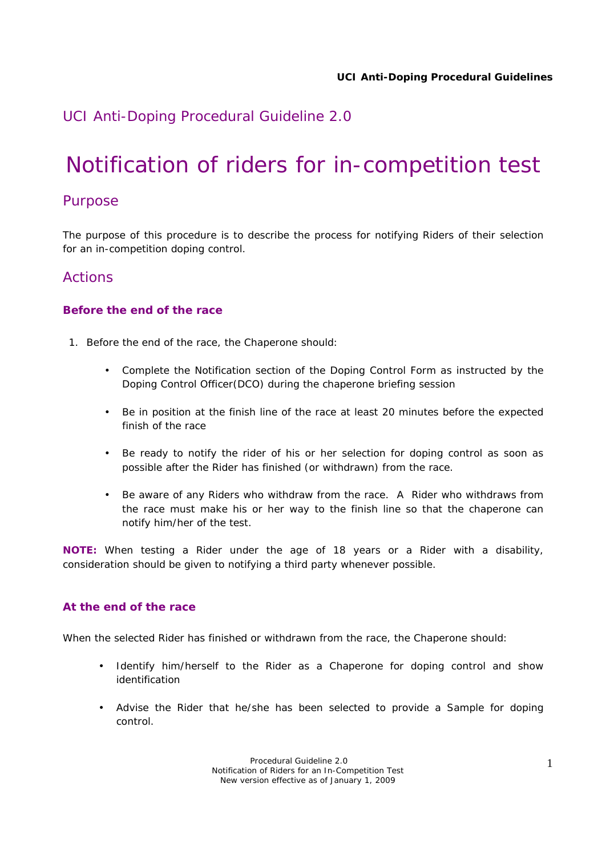# *UCI Anti-Doping Procedural Guideline 2.0*

# Notification of riders for in-competition test

## Purpose

The purpose of this procedure is to describe the process for notifying Riders of their selection for an in-competition doping control.

### Actions

#### **Before the end of the race**

- 1. Before the end of the race, the Chaperone should:
	- Complete the Notification section of the Doping Control Form as instructed by the Doping Control Officer(DCO) during the chaperone briefing session
	- Be in position at the finish line of the race at least 20 minutes before the expected finish of the race
	- Be ready to notify the rider of his or her selection for doping control as soon as possible after the Rider has finished (or withdrawn) from the race.
	- Be aware of any Riders who withdraw from the race. A Rider who withdraws from the race must make his or her way to the finish line so that the chaperone can notify him/her of the test.

**NOTE:** When testing a Rider under the age of 18 years or a Rider with a disability, consideration should be given to notifying a third party whenever possible.

#### **At the end of the race**

When the selected Rider has finished or withdrawn from the race, the Chaperone should:

- Identify him/herself to the Rider as a Chaperone for doping control and show identification
- Advise the Rider that he/she has been selected to provide a Sample for doping control.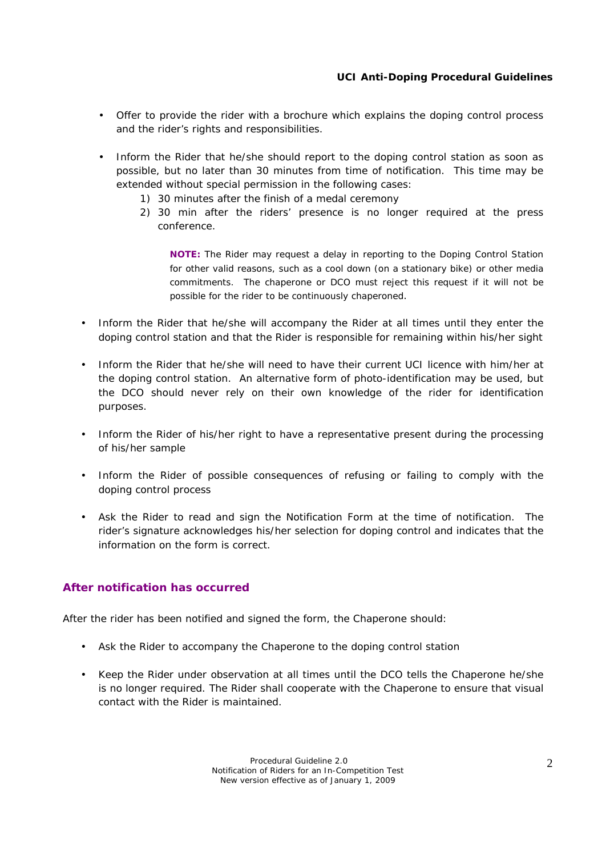- Offer to provide the rider with a brochure which explains the doping control process and the rider's rights and responsibilities.
- Inform the Rider that he/she should report to the doping control station as soon as possible, but no later than 30 minutes from time of notification. This time may be extended without special permission in the following cases:
	- 1) 30 minutes after the finish of a medal ceremony
	- 2) 30 min after the riders' presence is no longer required at the press conference.

**NOTE:** The Rider may request a delay in reporting to the Doping Control Station for other valid reasons, such as a cool down (on a stationary bike) or other media commitments. The chaperone or DCO must reject this request if it will not be possible for the rider to be continuously chaperoned.

- Inform the Rider that he/she will accompany the Rider at all times until they enter the doping control station and that the Rider is responsible for remaining within his/her sight
- Inform the Rider that he/she will need to have their current UCI licence with him/her at the doping control station. An alternative form of photo-identification may be used, but the DCO should never rely on their own knowledge of the rider for identification purposes.
- Inform the Rider of his/her right to have a representative present during the processing of his/her sample
- Inform the Rider of possible consequences of refusing or failing to comply with the doping control process
- Ask the Rider to read and sign the Notification Form at the time of notification. The rider's signature acknowledges his/her selection for doping control and indicates that the information on the form is correct.

#### **After notification has occurred**

After the rider has been notified and signed the form, the Chaperone should:

- Ask the Rider to accompany the Chaperone to the doping control station
- Keep the Rider under observation at all times until the DCO tells the Chaperone he/she is no longer required. The Rider shall cooperate with the Chaperone to ensure that visual contact with the Rider is maintained.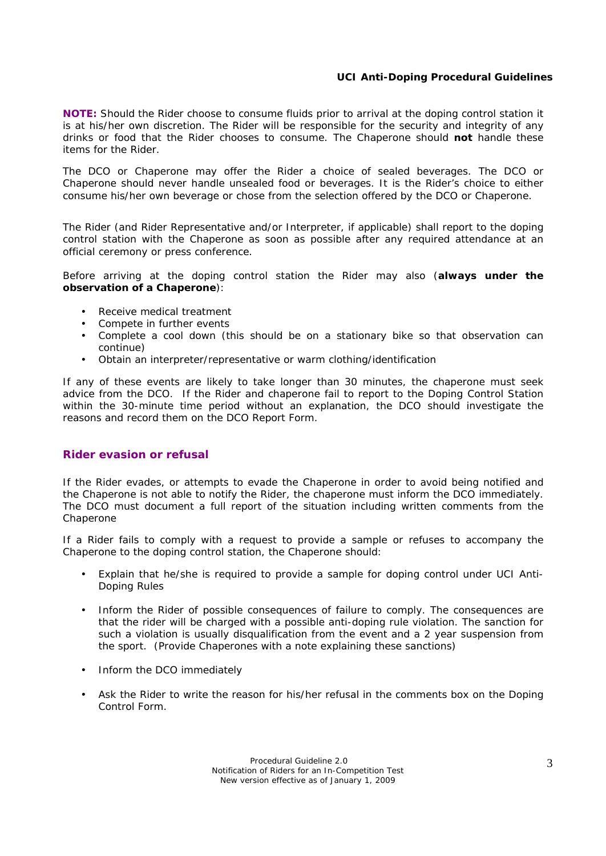#### **UCI Anti-Doping Procedural Guidelines**

**NOTE:** Should the Rider choose to consume fluids prior to arrival at the doping control station it is at his/her own discretion. The Rider will be responsible for the security and integrity of any drinks or food that the Rider chooses to consume. The Chaperone should **not** handle these items for the Rider.

The DCO or Chaperone may offer the Rider a choice of sealed beverages. The DCO or Chaperone should never handle unsealed food or beverages. It is the Rider's choice to either consume his/her own beverage or chose from the selection offered by the DCO or Chaperone.

The Rider (and Rider Representative and/or Interpreter, if applicable) shall report to the doping control station with the Chaperone as soon as possible after any required attendance at an official ceremony or press conference.

Before arriving at the doping control station the Rider may also (**always under the observation of a Chaperone**):

- Receive medical treatment
- Compete in further events
- Complete a cool down (this should be on a stationary bike so that observation can continue)
- Obtain an interpreter/representative or warm clothing/identification

If any of these events are likely to take longer than 30 minutes, the chaperone must seek advice from the DCO. If the Rider and chaperone fail to report to the Doping Control Station within the 30-minute time period without an explanation, the DCO should investigate the reasons and record them on the DCO Report Form*.* 

#### **Rider evasion or refusal**

If the Rider evades, or attempts to evade the Chaperone in order to avoid being notified and the Chaperone is not able to notify the Rider, the chaperone must inform the DCO immediately. The DCO must document a full report of the situation including written comments from the Chaperone

If a Rider fails to comply with a request to provide a sample or refuses to accompany the Chaperone to the doping control station, the Chaperone should:

- Explain that he/she is required to provide a sample for doping control under UCI Anti-Doping Rules
- Inform the Rider of possible consequences of failure to comply. The consequences are that the rider will be charged with a possible anti-doping rule violation. The sanction for such a violation is usually disqualification from the event and a 2 year suspension from the sport. (Provide Chaperones with a note explaining these sanctions)
- Inform the DCO immediately
- Ask the Rider to write the reason for his/her refusal in the comments box on the Doping Control Form.